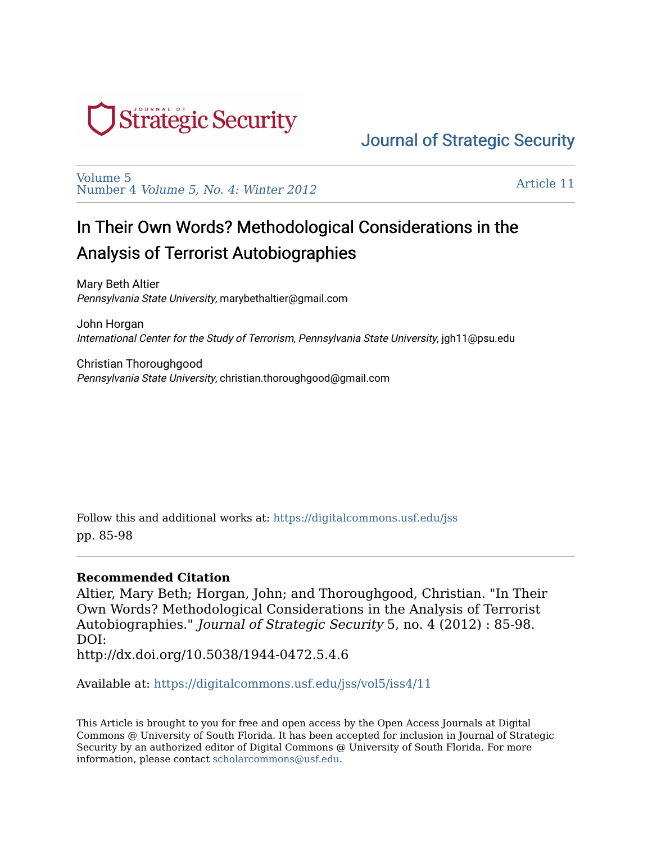

[Volume 5](https://digitalcommons.usf.edu/jss/vol5)  Number 4 [Volume 5, No. 4: Winter 2012](https://digitalcommons.usf.edu/jss/vol5/iss4)

[Article 11](https://digitalcommons.usf.edu/jss/vol5/iss4/11) 

## In Their Own Words? Methodological Considerations in the Analysis of Terrorist Autobiographies

Mary Beth Altier Pennsylvania State University, marybethaltier@gmail.com

John Horgan International Center for the Study of Terrorism, Pennsylvania State University, jgh11@psu.edu

Christian Thoroughgood Pennsylvania State University, christian.thoroughgood@gmail.com

Follow this and additional works at: [https://digitalcommons.usf.edu/jss](https://digitalcommons.usf.edu/jss?utm_source=digitalcommons.usf.edu%2Fjss%2Fvol5%2Fiss4%2F11&utm_medium=PDF&utm_campaign=PDFCoverPages) pp. 85-98

#### **Recommended Citation**

Altier, Mary Beth; Horgan, John; and Thoroughgood, Christian. "In Their Own Words? Methodological Considerations in the Analysis of Terrorist Autobiographies." Journal of Strategic Security 5, no. 4 (2012) : 85-98. DOI: http://dx.doi.org/10.5038/1944-0472.5.4.6

Available at: [https://digitalcommons.usf.edu/jss/vol5/iss4/11](https://digitalcommons.usf.edu/jss/vol5/iss4/11?utm_source=digitalcommons.usf.edu%2Fjss%2Fvol5%2Fiss4%2F11&utm_medium=PDF&utm_campaign=PDFCoverPages) 

This Article is brought to you for free and open access by the Open Access Journals at Digital Commons @ University of South Florida. It has been accepted for inclusion in Journal of Strategic Security by an authorized editor of Digital Commons @ University of South Florida. For more information, please contact [scholarcommons@usf.edu.](mailto:scholarcommons@usf.edu)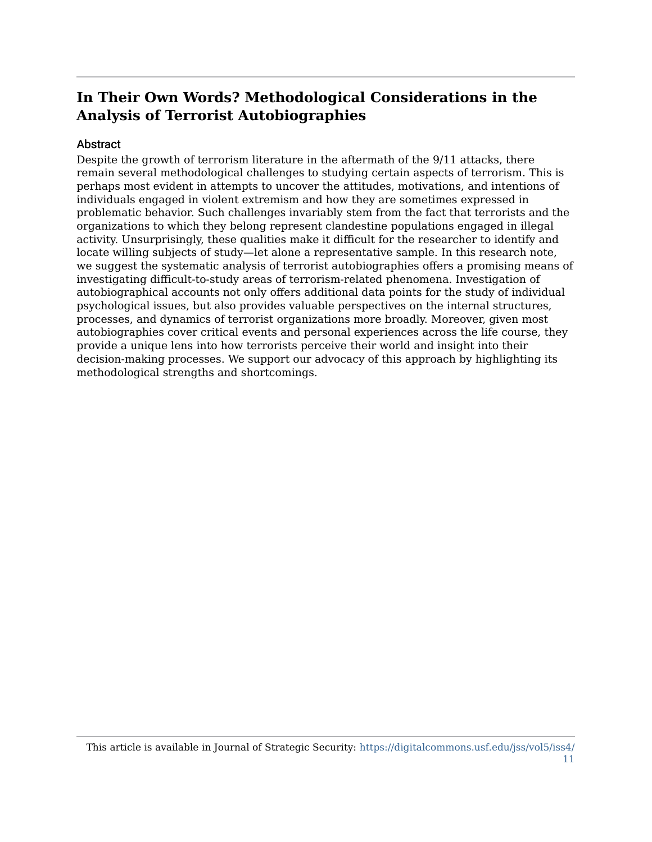#### Abstract

Despite the growth of terrorism literature in the aftermath of the 9/11 attacks, there remain several methodological challenges to studying certain aspects of terrorism. This is perhaps most evident in attempts to uncover the attitudes, motivations, and intentions of individuals engaged in violent extremism and how they are sometimes expressed in problematic behavior. Such challenges invariably stem from the fact that terrorists and the organizations to which they belong represent clandestine populations engaged in illegal activity. Unsurprisingly, these qualities make it difficult for the researcher to identify and locate willing subjects of study—let alone a representative sample. In this research note, we suggest the systematic analysis of terrorist autobiographies offers a promising means of investigating difficult-to-study areas of terrorism-related phenomena. Investigation of autobiographical accounts not only offers additional data points for the study of individual psychological issues, but also provides valuable perspectives on the internal structures, processes, and dynamics of terrorist organizations more broadly. Moreover, given most autobiographies cover critical events and personal experiences across the life course, they provide a unique lens into how terrorists perceive their world and insight into their decision-making processes. We support our advocacy of this approach by highlighting its methodological strengths and shortcomings.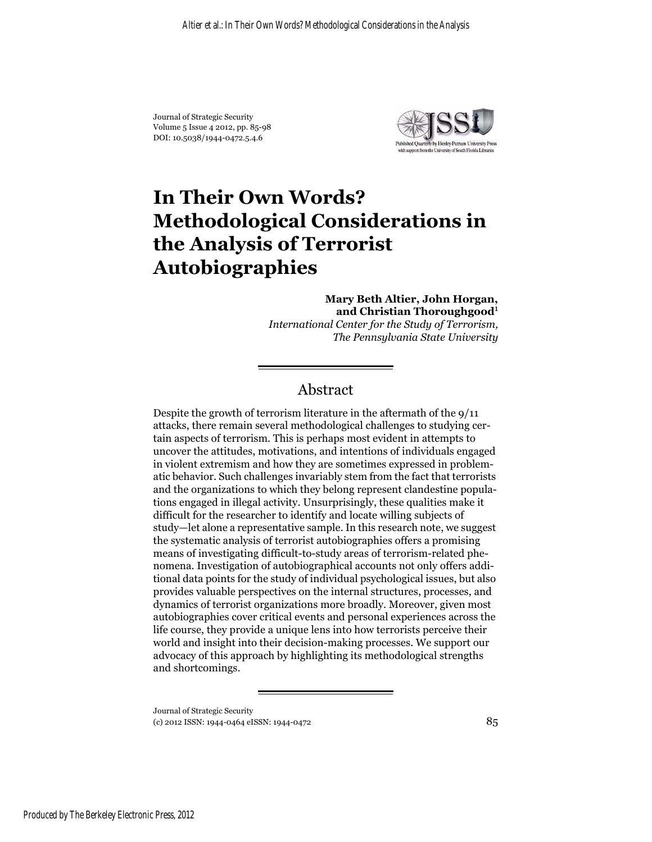Journal of Strategic Security Volume 5 Issue 4 2012, pp. 85-98 DOI: 10.5038/1944-0472.5.4.6



# **In Their Own Words? Methodological Considerations in the Analysis of Terrorist Autobiographies**

**Mary Beth Altier, John Horgan, and Christian Thoroughgood**<sup>1</sup> *International Center for the Study of Terrorism, The Pennsylvania State University*

#### Abstract

Despite the growth of terrorism literature in the aftermath of the 9/11 attacks, there remain several methodological challenges to studying certain aspects of terrorism. This is perhaps most evident in attempts to uncover the attitudes, motivations, and intentions of individuals engaged in violent extremism and how they are sometimes expressed in problematic behavior. Such challenges invariably stem from the fact that terrorists and the organizations to which they belong represent clandestine populations engaged in illegal activity. Unsurprisingly, these qualities make it difficult for the researcher to identify and locate willing subjects of study—let alone a representative sample. In this research note, we suggest the systematic analysis of terrorist autobiographies offers a promising means of investigating difficult-to-study areas of terrorism-related phenomena. Investigation of autobiographical accounts not only offers additional data points for the study of individual psychological issues, but also provides valuable perspectives on the internal structures, processes, and dynamics of terrorist organizations more broadly. Moreover, given most autobiographies cover critical events and personal experiences across the life course, they provide a unique lens into how terrorists perceive their world and insight into their decision-making processes. We support our advocacy of this approach by highlighting its methodological strengths and shortcomings.

Journal of Strategic Security (c) 2012 ISSN: 1944-0464 eISSN: 1944-0472 85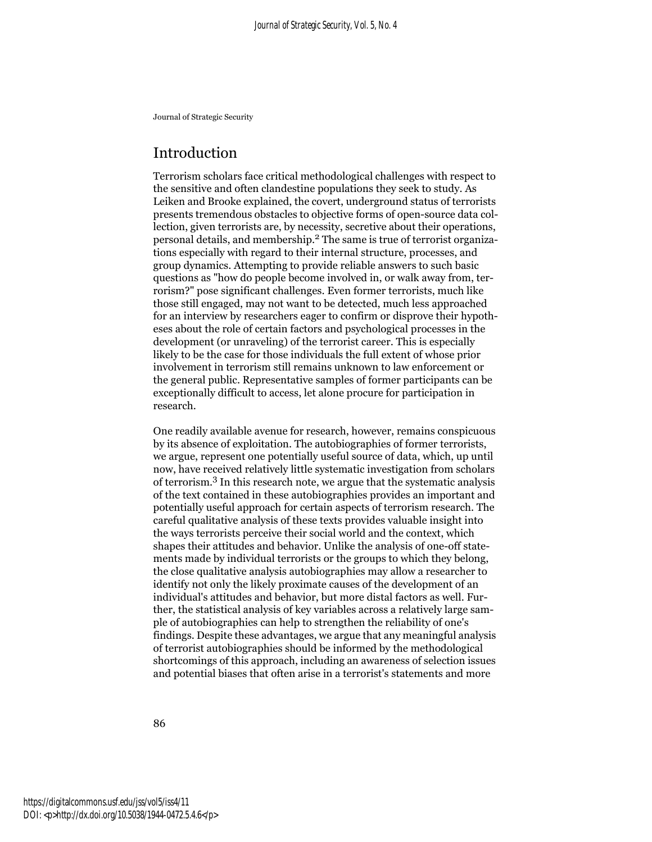#### Introduction

Terrorism scholars face critical methodological challenges with respect to the sensitive and often clandestine populations they seek to study. As Leiken and Brooke explained, the covert, underground status of terrorists presents tremendous obstacles to objective forms of open-source data collection, given terrorists are, by necessity, secretive about their operations, personal details, and membership.2 The same is true of terrorist organizations especially with regard to their internal structure, processes, and group dynamics. Attempting to provide reliable answers to such basic questions as "how do people become involved in, or walk away from, terrorism?" pose significant challenges. Even former terrorists, much like those still engaged, may not want to be detected, much less approached for an interview by researchers eager to confirm or disprove their hypotheses about the role of certain factors and psychological processes in the development (or unraveling) of the terrorist career. This is especially likely to be the case for those individuals the full extent of whose prior involvement in terrorism still remains unknown to law enforcement or the general public. Representative samples of former participants can be exceptionally difficult to access, let alone procure for participation in research.

One readily available avenue for research, however, remains conspicuous by its absence of exploitation. The autobiographies of former terrorists, we argue, represent one potentially useful source of data, which, up until now, have received relatively little systematic investigation from scholars of terrorism.3 In this research note, we argue that the systematic analysis of the text contained in these autobiographies provides an important and potentially useful approach for certain aspects of terrorism research. The careful qualitative analysis of these texts provides valuable insight into the ways terrorists perceive their social world and the context, which shapes their attitudes and behavior. Unlike the analysis of one-off statements made by individual terrorists or the groups to which they belong, the close qualitative analysis autobiographies may allow a researcher to identify not only the likely proximate causes of the development of an individual's attitudes and behavior, but more distal factors as well. Further, the statistical analysis of key variables across a relatively large sample of autobiographies can help to strengthen the reliability of one's findings. Despite these advantages, we argue that any meaningful analysis of terrorist autobiographies should be informed by the methodological shortcomings of this approach, including an awareness of selection issues and potential biases that often arise in a terrorist's statements and more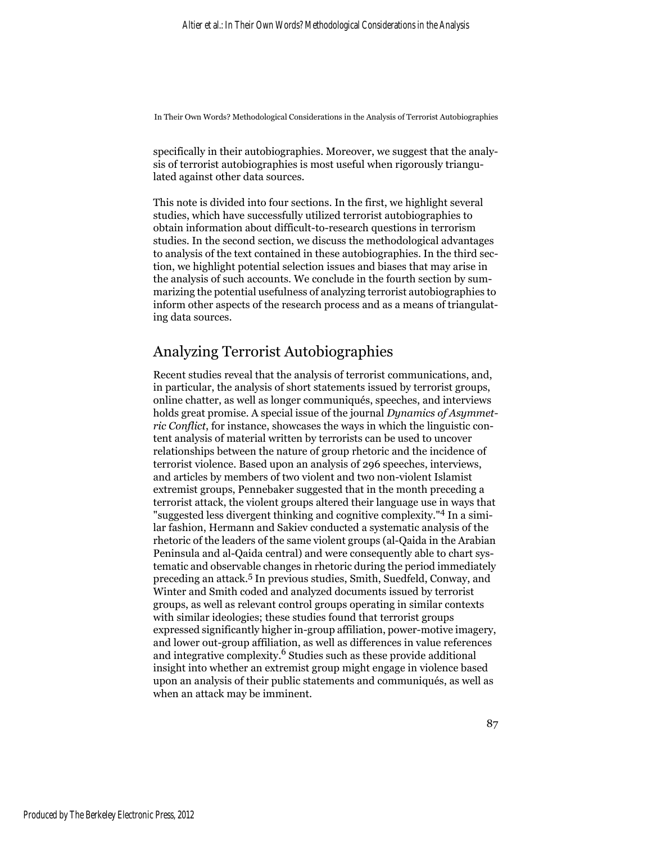specifically in their autobiographies. Moreover, we suggest that the analysis of terrorist autobiographies is most useful when rigorously triangulated against other data sources.

This note is divided into four sections. In the first, we highlight several studies, which have successfully utilized terrorist autobiographies to obtain information about difficult-to-research questions in terrorism studies. In the second section, we discuss the methodological advantages to analysis of the text contained in these autobiographies. In the third section, we highlight potential selection issues and biases that may arise in the analysis of such accounts. We conclude in the fourth section by summarizing the potential usefulness of analyzing terrorist autobiographies to inform other aspects of the research process and as a means of triangulating data sources.

#### Analyzing Terrorist Autobiographies

Recent studies reveal that the analysis of terrorist communications, and, in particular, the analysis of short statements issued by terrorist groups, online chatter, as well as longer communiqués, speeches, and interviews holds great promise. A special issue of the journal *Dynamics of Asymmetric Conflict*, for instance, showcases the ways in which the linguistic content analysis of material written by terrorists can be used to uncover relationships between the nature of group rhetoric and the incidence of terrorist violence. Based upon an analysis of 296 speeches, interviews, and articles by members of two violent and two non-violent Islamist extremist groups, Pennebaker suggested that in the month preceding a terrorist attack, the violent groups altered their language use in ways that "suggested less divergent thinking and cognitive complexity."4 In a similar fashion, Hermann and Sakiev conducted a systematic analysis of the rhetoric of the leaders of the same violent groups (al-Qaida in the Arabian Peninsula and al-Qaida central) and were consequently able to chart systematic and observable changes in rhetoric during the period immediately preceding an attack.5 In previous studies, Smith, Suedfeld, Conway, and Winter and Smith coded and analyzed documents issued by terrorist groups, as well as relevant control groups operating in similar contexts with similar ideologies; these studies found that terrorist groups expressed significantly higher in-group affiliation, power-motive imagery, and lower out-group affiliation, as well as differences in value references and integrative complexity.6 Studies such as these provide additional insight into whether an extremist group might engage in violence based upon an analysis of their public statements and communiqués, as well as when an attack may be imminent.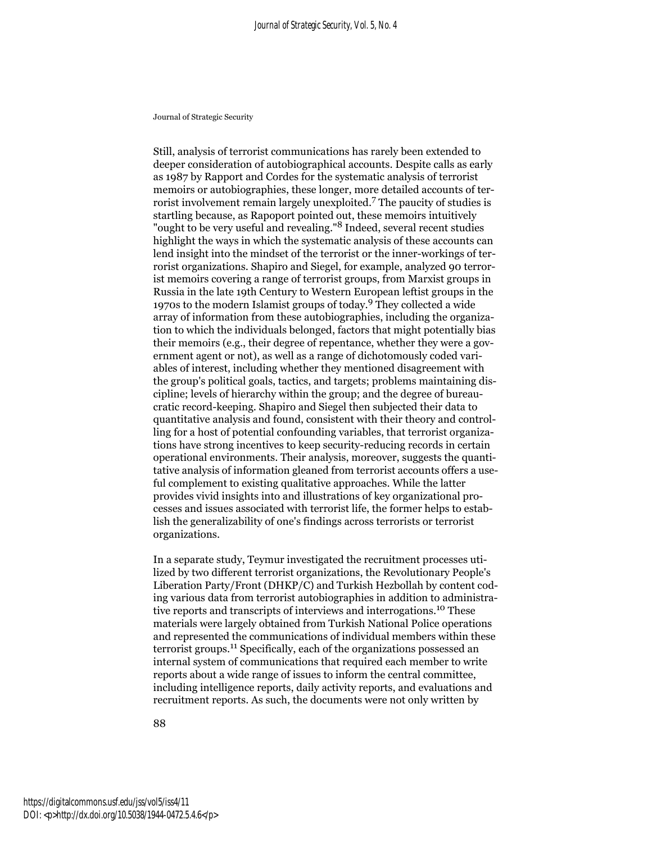Still, analysis of terrorist communications has rarely been extended to deeper consideration of autobiographical accounts. Despite calls as early as 1987 by Rapport and Cordes for the systematic analysis of terrorist memoirs or autobiographies, these longer, more detailed accounts of terrorist involvement remain largely unexploited.7 The paucity of studies is startling because, as Rapoport pointed out, these memoirs intuitively "ought to be very useful and revealing."8 Indeed, several recent studies highlight the ways in which the systematic analysis of these accounts can lend insight into the mindset of the terrorist or the inner-workings of terrorist organizations. Shapiro and Siegel, for example, analyzed 90 terrorist memoirs covering a range of terrorist groups, from Marxist groups in Russia in the late 19th Century to Western European leftist groups in the 1970s to the modern Islamist groups of today.9 They collected a wide array of information from these autobiographies, including the organization to which the individuals belonged, factors that might potentially bias their memoirs (e.g., their degree of repentance, whether they were a government agent or not), as well as a range of dichotomously coded variables of interest, including whether they mentioned disagreement with the group's political goals, tactics, and targets; problems maintaining discipline; levels of hierarchy within the group; and the degree of bureaucratic record-keeping. Shapiro and Siegel then subjected their data to quantitative analysis and found, consistent with their theory and controlling for a host of potential confounding variables, that terrorist organizations have strong incentives to keep security-reducing records in certain operational environments. Their analysis, moreover, suggests the quantitative analysis of information gleaned from terrorist accounts offers a useful complement to existing qualitative approaches. While the latter provides vivid insights into and illustrations of key organizational processes and issues associated with terrorist life, the former helps to establish the generalizability of one's findings across terrorists or terrorist organizations.

In a separate study, Teymur investigated the recruitment processes utilized by two different terrorist organizations, the Revolutionary People's Liberation Party/Front (DHKP/C) and Turkish Hezbollah by content coding various data from terrorist autobiographies in addition to administrative reports and transcripts of interviews and interrogations.10 These materials were largely obtained from Turkish National Police operations and represented the communications of individual members within these terrorist groups.11 Specifically, each of the organizations possessed an internal system of communications that required each member to write reports about a wide range of issues to inform the central committee, including intelligence reports, daily activity reports, and evaluations and recruitment reports. As such, the documents were not only written by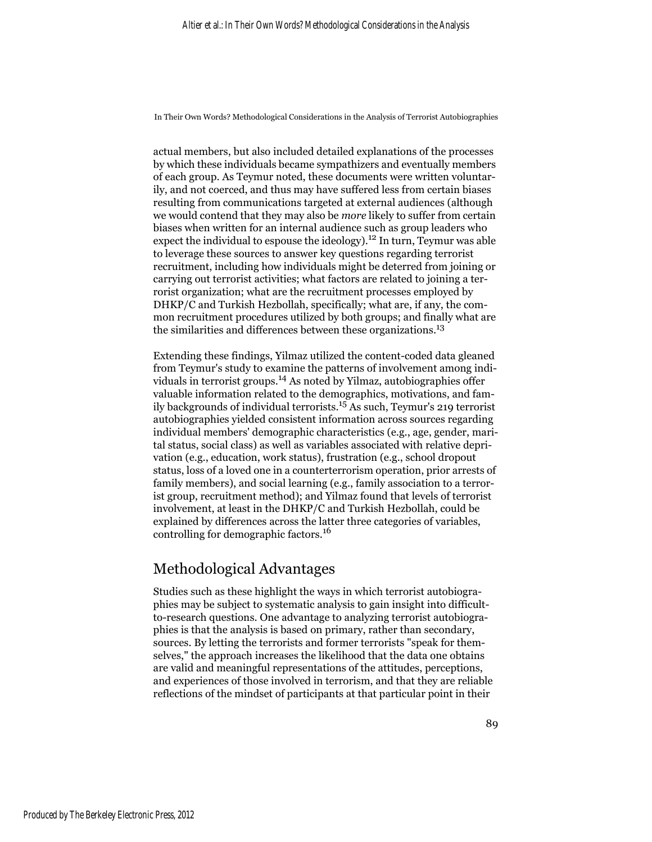actual members, but also included detailed explanations of the processes by which these individuals became sympathizers and eventually members of each group. As Teymur noted, these documents were written voluntarily, and not coerced, and thus may have suffered less from certain biases resulting from communications targeted at external audiences (although we would contend that they may also be *more* likely to suffer from certain biases when written for an internal audience such as group leaders who expect the individual to espouse the ideology).<sup>12</sup> In turn, Teymur was able to leverage these sources to answer key questions regarding terrorist recruitment, including how individuals might be deterred from joining or carrying out terrorist activities; what factors are related to joining a terrorist organization; what are the recruitment processes employed by DHKP/C and Turkish Hezbollah, specifically; what are, if any, the common recruitment procedures utilized by both groups; and finally what are the similarities and differences between these organizations.<sup>13</sup>

Extending these findings, Yilmaz utilized the content-coded data gleaned from Teymur's study to examine the patterns of involvement among individuals in terrorist groups.14 As noted by Yilmaz, autobiographies offer valuable information related to the demographics, motivations, and family backgrounds of individual terrorists.15 As such, Teymur's 219 terrorist autobiographies yielded consistent information across sources regarding individual members' demographic characteristics (e.g., age, gender, marital status, social class) as well as variables associated with relative deprivation (e.g., education, work status), frustration (e.g., school dropout status, loss of a loved one in a counterterrorism operation, prior arrests of family members), and social learning (e.g., family association to a terrorist group, recruitment method); and Yilmaz found that levels of terrorist involvement, at least in the DHKP/C and Turkish Hezbollah, could be explained by differences across the latter three categories of variables, controlling for demographic factors.<sup>16</sup>

### Methodological Advantages

Studies such as these highlight the ways in which terrorist autobiographies may be subject to systematic analysis to gain insight into difficultto-research questions. One advantage to analyzing terrorist autobiographies is that the analysis is based on primary, rather than secondary, sources. By letting the terrorists and former terrorists "speak for themselves," the approach increases the likelihood that the data one obtains are valid and meaningful representations of the attitudes, perceptions, and experiences of those involved in terrorism, and that they are reliable reflections of the mindset of participants at that particular point in their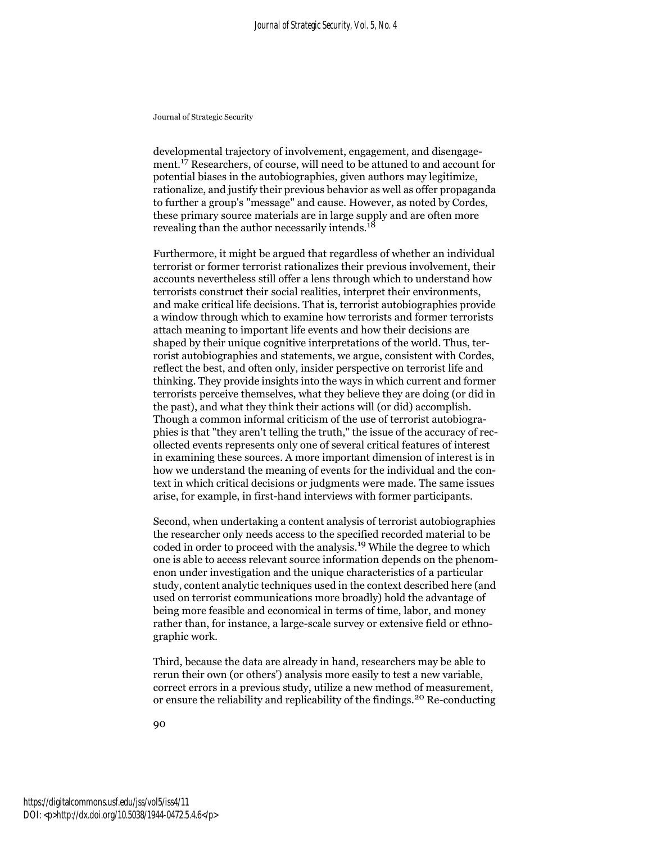developmental trajectory of involvement, engagement, and disengagement.17 Researchers, of course, will need to be attuned to and account for potential biases in the autobiographies, given authors may legitimize, rationalize, and justify their previous behavior as well as offer propaganda to further a group's "message" and cause. However, as noted by Cordes, these primary source materials are in large supply and are often more revealing than the author necessarily intends.<sup>18</sup>

Furthermore, it might be argued that regardless of whether an individual terrorist or former terrorist rationalizes their previous involvement, their accounts nevertheless still offer a lens through which to understand how terrorists construct their social realities, interpret their environments, and make critical life decisions. That is, terrorist autobiographies provide a window through which to examine how terrorists and former terrorists attach meaning to important life events and how their decisions are shaped by their unique cognitive interpretations of the world. Thus, terrorist autobiographies and statements, we argue, consistent with Cordes, reflect the best, and often only, insider perspective on terrorist life and thinking. They provide insights into the ways in which current and former terrorists perceive themselves, what they believe they are doing (or did in the past), and what they think their actions will (or did) accomplish. Though a common informal criticism of the use of terrorist autobiographies is that "they aren't telling the truth," the issue of the accuracy of recollected events represents only one of several critical features of interest in examining these sources. A more important dimension of interest is in how we understand the meaning of events for the individual and the context in which critical decisions or judgments were made. The same issues arise, for example, in first-hand interviews with former participants.

Second, when undertaking a content analysis of terrorist autobiographies the researcher only needs access to the specified recorded material to be coded in order to proceed with the analysis.19 While the degree to which one is able to access relevant source information depends on the phenomenon under investigation and the unique characteristics of a particular study, content analytic techniques used in the context described here (and used on terrorist communications more broadly) hold the advantage of being more feasible and economical in terms of time, labor, and money rather than, for instance, a large-scale survey or extensive field or ethnographic work.

Third, because the data are already in hand, researchers may be able to rerun their own (or others') analysis more easily to test a new variable, correct errors in a previous study, utilize a new method of measurement, or ensure the reliability and replicability of the findings.20 Re-conducting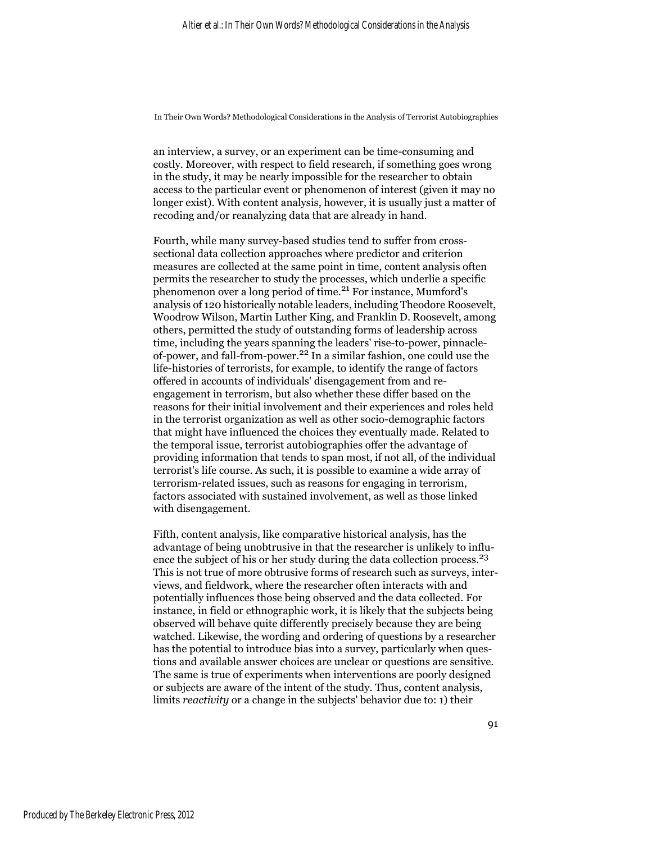an interview, a survey, or an experiment can be time-consuming and costly. Moreover, with respect to field research, if something goes wrong in the study, it may be nearly impossible for the researcher to obtain access to the particular event or phenomenon of interest (given it may no longer exist). With content analysis, however, it is usually just a matter of recoding and/or reanalyzing data that are already in hand.

Fourth, while many survey-based studies tend to suffer from crosssectional data collection approaches where predictor and criterion measures are collected at the same point in time, content analysis often permits the researcher to study the processes, which underlie a specific phenomenon over a long period of time.21 For instance, Mumford's analysis of 120 historically notable leaders, including Theodore Roosevelt, Woodrow Wilson, Martin Luther King, and Franklin D. Roosevelt, among others, permitted the study of outstanding forms of leadership across time, including the years spanning the leaders' rise-to-power, pinnacleof-power, and fall-from-power.22 In a similar fashion, one could use the life-histories of terrorists, for example, to identify the range of factors offered in accounts of individuals' disengagement from and reengagement in terrorism, but also whether these differ based on the reasons for their initial involvement and their experiences and roles held in the terrorist organization as well as other socio-demographic factors that might have influenced the choices they eventually made. Related to the temporal issue, terrorist autobiographies offer the advantage of providing information that tends to span most, if not all, of the individual terrorist's life course. As such, it is possible to examine a wide array of terrorism-related issues, such as reasons for engaging in terrorism, factors associated with sustained involvement, as well as those linked with disengagement.

Fifth, content analysis, like comparative historical analysis, has the advantage of being unobtrusive in that the researcher is unlikely to influence the subject of his or her study during the data collection process.<sup>23</sup> This is not true of more obtrusive forms of research such as surveys, interviews, and fieldwork, where the researcher often interacts with and potentially influences those being observed and the data collected. For instance, in field or ethnographic work, it is likely that the subjects being observed will behave quite differently precisely because they are being watched. Likewise, the wording and ordering of questions by a researcher has the potential to introduce bias into a survey, particularly when questions and available answer choices are unclear or questions are sensitive. The same is true of experiments when interventions are poorly designed or subjects are aware of the intent of the study. Thus, content analysis, limits *reactivity* or a change in the subjects' behavior due to: 1) their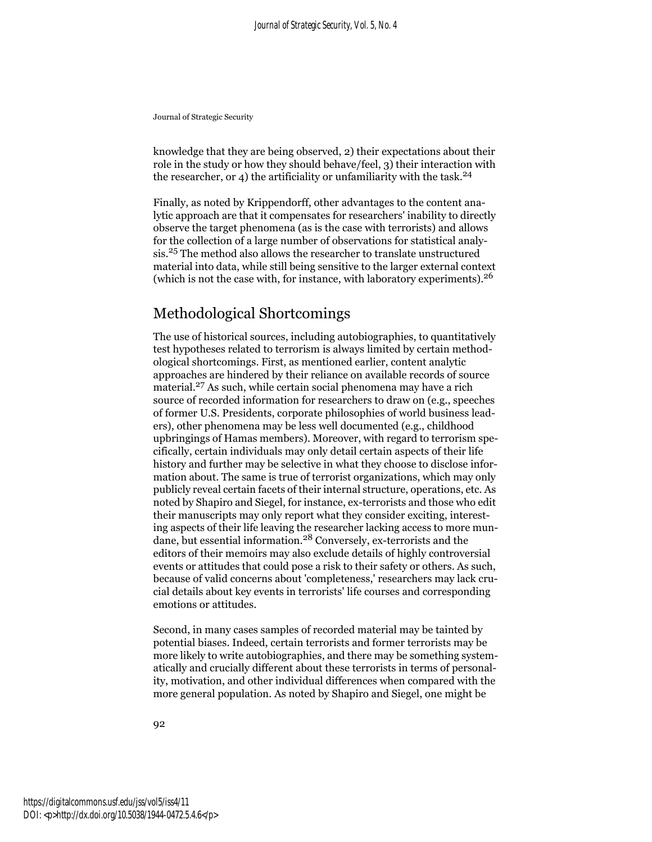knowledge that they are being observed, 2) their expectations about their role in the study or how they should behave/feel, 3) their interaction with the researcher, or 4) the artificiality or unfamiliarity with the task.<sup>24</sup>

Finally, as noted by Krippendorff, other advantages to the content analytic approach are that it compensates for researchers' inability to directly observe the target phenomena (as is the case with terrorists) and allows for the collection of a large number of observations for statistical analysis.25 The method also allows the researcher to translate unstructured material into data, while still being sensitive to the larger external context (which is not the case with, for instance, with laboratory experiments).<sup>26</sup>

### Methodological Shortcomings

The use of historical sources, including autobiographies, to quantitatively test hypotheses related to terrorism is always limited by certain methodological shortcomings. First, as mentioned earlier, content analytic approaches are hindered by their reliance on available records of source material.27 As such, while certain social phenomena may have a rich source of recorded information for researchers to draw on (e.g., speeches of former U.S. Presidents, corporate philosophies of world business leaders), other phenomena may be less well documented (e.g., childhood upbringings of Hamas members). Moreover, with regard to terrorism specifically, certain individuals may only detail certain aspects of their life history and further may be selective in what they choose to disclose information about. The same is true of terrorist organizations, which may only publicly reveal certain facets of their internal structure, operations, etc. As noted by Shapiro and Siegel, for instance, ex-terrorists and those who edit their manuscripts may only report what they consider exciting, interesting aspects of their life leaving the researcher lacking access to more mundane, but essential information.28 Conversely, ex-terrorists and the editors of their memoirs may also exclude details of highly controversial events or attitudes that could pose a risk to their safety or others. As such, because of valid concerns about 'completeness,' researchers may lack crucial details about key events in terrorists' life courses and corresponding emotions or attitudes.

Second, in many cases samples of recorded material may be tainted by potential biases. Indeed, certain terrorists and former terrorists may be more likely to write autobiographies, and there may be something systematically and crucially different about these terrorists in terms of personality, motivation, and other individual differences when compared with the more general population. As noted by Shapiro and Siegel, one might be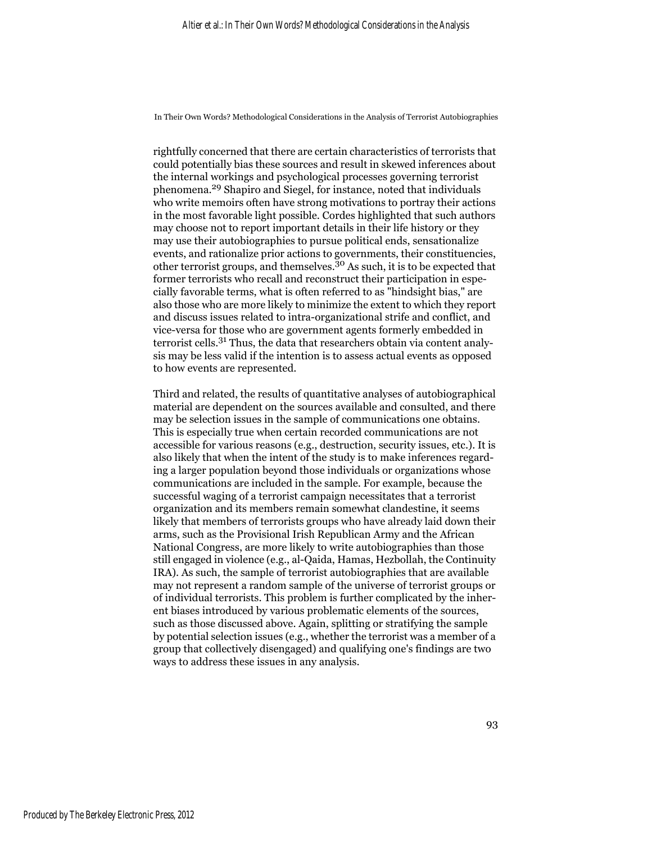rightfully concerned that there are certain characteristics of terrorists that could potentially bias these sources and result in skewed inferences about the internal workings and psychological processes governing terrorist phenomena.29 Shapiro and Siegel, for instance, noted that individuals who write memoirs often have strong motivations to portray their actions in the most favorable light possible. Cordes highlighted that such authors may choose not to report important details in their life history or they may use their autobiographies to pursue political ends, sensationalize events, and rationalize prior actions to governments, their constituencies, other terrorist groups, and themselves.<sup>30</sup> As such, it is to be expected that former terrorists who recall and reconstruct their participation in especially favorable terms, what is often referred to as "hindsight bias," are also those who are more likely to minimize the extent to which they report and discuss issues related to intra-organizational strife and conflict, and vice-versa for those who are government agents formerly embedded in terrorist cells.31 Thus, the data that researchers obtain via content analysis may be less valid if the intention is to assess actual events as opposed to how events are represented.

Third and related, the results of quantitative analyses of autobiographical material are dependent on the sources available and consulted, and there may be selection issues in the sample of communications one obtains. This is especially true when certain recorded communications are not accessible for various reasons (e.g., destruction, security issues, etc.). It is also likely that when the intent of the study is to make inferences regarding a larger population beyond those individuals or organizations whose communications are included in the sample. For example, because the successful waging of a terrorist campaign necessitates that a terrorist organization and its members remain somewhat clandestine, it seems likely that members of terrorists groups who have already laid down their arms, such as the Provisional Irish Republican Army and the African National Congress, are more likely to write autobiographies than those still engaged in violence (e.g., al-Qaida, Hamas, Hezbollah, the Continuity IRA). As such, the sample of terrorist autobiographies that are available may not represent a random sample of the universe of terrorist groups or of individual terrorists. This problem is further complicated by the inherent biases introduced by various problematic elements of the sources, such as those discussed above. Again, splitting or stratifying the sample by potential selection issues (e.g., whether the terrorist was a member of a group that collectively disengaged) and qualifying one's findings are two ways to address these issues in any analysis.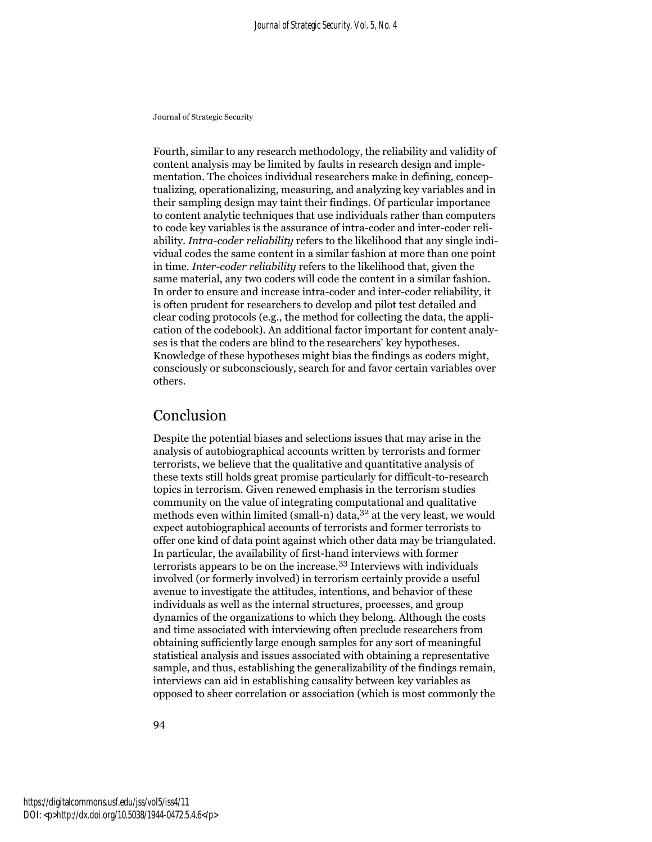Fourth, similar to any research methodology, the reliability and validity of content analysis may be limited by faults in research design and implementation. The choices individual researchers make in defining, conceptualizing, operationalizing, measuring, and analyzing key variables and in their sampling design may taint their findings. Of particular importance to content analytic techniques that use individuals rather than computers to code key variables is the assurance of intra-coder and inter-coder reliability. *Intra-coder reliability* refers to the likelihood that any single individual codes the same content in a similar fashion at more than one point in time. *Inter-coder reliability* refers to the likelihood that, given the same material, any two coders will code the content in a similar fashion. In order to ensure and increase intra-coder and inter-coder reliability, it is often prudent for researchers to develop and pilot test detailed and clear coding protocols (e.g., the method for collecting the data, the application of the codebook). An additional factor important for content analyses is that the coders are blind to the researchers' key hypotheses. Knowledge of these hypotheses might bias the findings as coders might, consciously or subconsciously, search for and favor certain variables over others.

#### Conclusion

Despite the potential biases and selections issues that may arise in the analysis of autobiographical accounts written by terrorists and former terrorists, we believe that the qualitative and quantitative analysis of these texts still holds great promise particularly for difficult-to-research topics in terrorism. Given renewed emphasis in the terrorism studies community on the value of integrating computational and qualitative methods even within limited (small-n) data,  $3^2$  at the very least, we would expect autobiographical accounts of terrorists and former terrorists to offer one kind of data point against which other data may be triangulated. In particular, the availability of first-hand interviews with former terrorists appears to be on the increase.33 Interviews with individuals involved (or formerly involved) in terrorism certainly provide a useful avenue to investigate the attitudes, intentions, and behavior of these individuals as well as the internal structures, processes, and group dynamics of the organizations to which they belong. Although the costs and time associated with interviewing often preclude researchers from obtaining sufficiently large enough samples for any sort of meaningful statistical analysis and issues associated with obtaining a representative sample, and thus, establishing the generalizability of the findings remain, interviews can aid in establishing causality between key variables as opposed to sheer correlation or association (which is most commonly the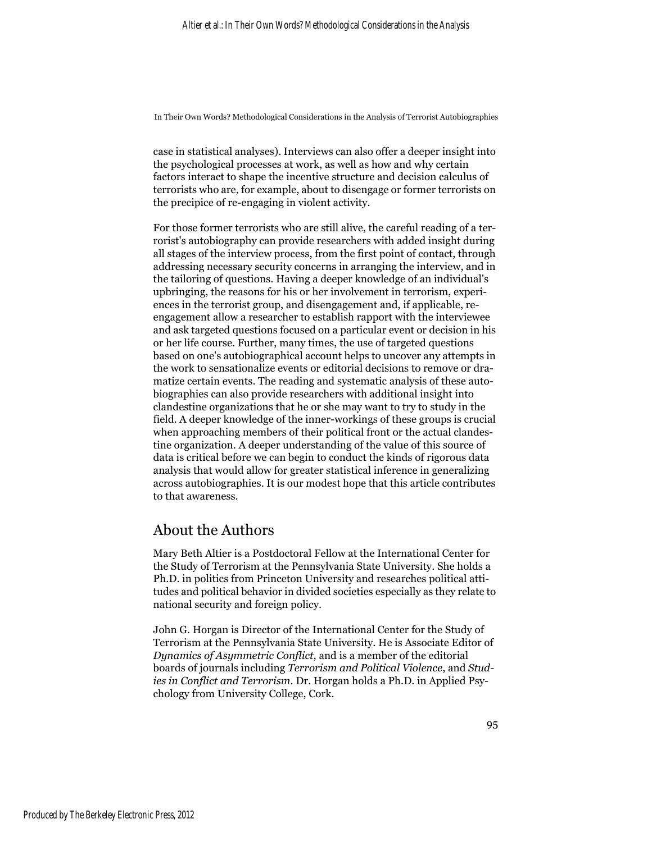case in statistical analyses). Interviews can also offer a deeper insight into the psychological processes at work, as well as how and why certain factors interact to shape the incentive structure and decision calculus of terrorists who are, for example, about to disengage or former terrorists on the precipice of re-engaging in violent activity.

For those former terrorists who are still alive, the careful reading of a terrorist's autobiography can provide researchers with added insight during all stages of the interview process, from the first point of contact, through addressing necessary security concerns in arranging the interview, and in the tailoring of questions. Having a deeper knowledge of an individual's upbringing, the reasons for his or her involvement in terrorism, experiences in the terrorist group, and disengagement and, if applicable, reengagement allow a researcher to establish rapport with the interviewee and ask targeted questions focused on a particular event or decision in his or her life course. Further, many times, the use of targeted questions based on one's autobiographical account helps to uncover any attempts in the work to sensationalize events or editorial decisions to remove or dramatize certain events. The reading and systematic analysis of these autobiographies can also provide researchers with additional insight into clandestine organizations that he or she may want to try to study in the field. A deeper knowledge of the inner-workings of these groups is crucial when approaching members of their political front or the actual clandestine organization. A deeper understanding of the value of this source of data is critical before we can begin to conduct the kinds of rigorous data analysis that would allow for greater statistical inference in generalizing across autobiographies. It is our modest hope that this article contributes to that awareness.

#### About the Authors

Mary Beth Altier is a Postdoctoral Fellow at the International Center for the Study of Terrorism at the Pennsylvania State University. She holds a Ph.D. in politics from Princeton University and researches political attitudes and political behavior in divided societies especially as they relate to national security and foreign policy.

John G. Horgan is Director of the International Center for the Study of Terrorism at the Pennsylvania State University. He is Associate Editor of *Dynamics of Asymmetric Conflict*, and is a member of the editorial boards of journals including *Terrorism and Political Violence*, and *Studies in Conflict and Terrorism*. Dr. Horgan holds a Ph.D. in Applied Psychology from University College, Cork.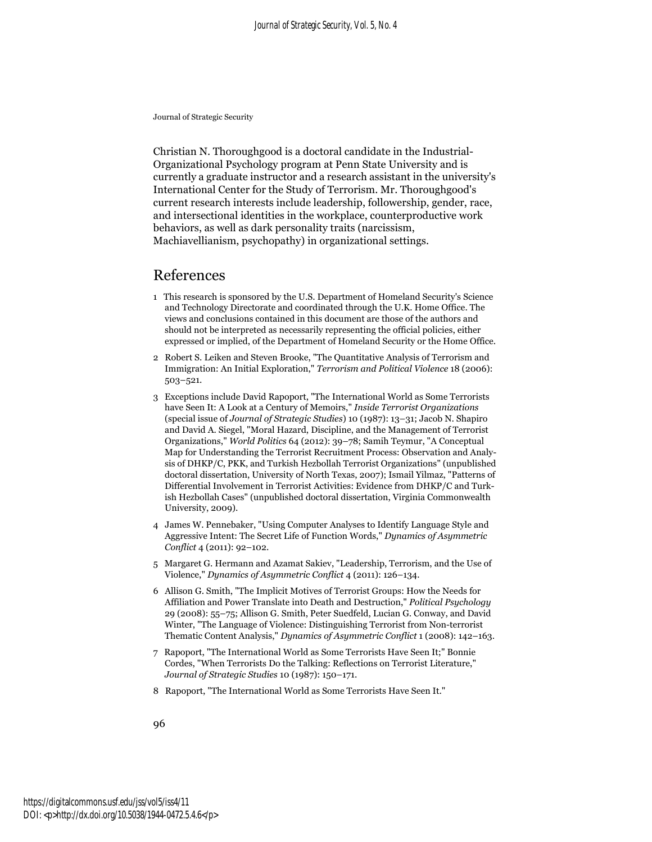Christian N. Thoroughgood is a doctoral candidate in the Industrial-Organizational Psychology program at Penn State University and is currently a graduate instructor and a research assistant in the university's International Center for the Study of Terrorism. Mr. Thoroughgood's current research interests include leadership, followership, gender, race, and intersectional identities in the workplace, counterproductive work behaviors, as well as dark personality traits (narcissism, Machiavellianism, psychopathy) in organizational settings.

#### References

- 1 This research is sponsored by the U.S. Department of Homeland Security's Science and Technology Directorate and coordinated through the U.K. Home Office. The views and conclusions contained in this document are those of the authors and should not be interpreted as necessarily representing the official policies, either expressed or implied, of the Department of Homeland Security or the Home Office.
- 2 Robert S. Leiken and Steven Brooke, "The Quantitative Analysis of Terrorism and Immigration: An Initial Exploration," *Terrorism and Political Violence* 18 (2006): 503–521.
- 3 Exceptions include David Rapoport, "The International World as Some Terrorists have Seen It: A Look at a Century of Memoirs," *Inside Terrorist Organizations* (special issue of *Journal of Strategic Studies*) 10 (1987): 13–31; Jacob N. Shapiro and David A. Siegel, "Moral Hazard, Discipline, and the Management of Terrorist Organizations," *World Politics* 64 (2012): 39–78; Samih Teymur, "A Conceptual Map for Understanding the Terrorist Recruitment Process: Observation and Analysis of DHKP/C, PKK, and Turkish Hezbollah Terrorist Organizations" (unpublished doctoral dissertation, University of North Texas, 2007); Ismail Yilmaz, "Patterns of Differential Involvement in Terrorist Activities: Evidence from DHKP/C and Turkish Hezbollah Cases" (unpublished doctoral dissertation, Virginia Commonwealth University, 2009).
- 4 James W. Pennebaker, "Using Computer Analyses to Identify Language Style and Aggressive Intent: The Secret Life of Function Words," *Dynamics of Asymmetric Conflict* 4 (2011): 92–102.
- 5 Margaret G. Hermann and Azamat Sakiev, "Leadership, Terrorism, and the Use of Violence," *Dynamics of Asymmetric Conflict* 4 (2011): 126–134.
- 6 Allison G. Smith, "The Implicit Motives of Terrorist Groups: How the Needs for Affiliation and Power Translate into Death and Destruction," *Political Psychology* 29 (2008): 55–75; Allison G. Smith, Peter Suedfeld, Lucian G. Conway, and David Winter, "The Language of Violence: Distinguishing Terrorist from Non-terrorist Thematic Content Analysis," *Dynamics of Asymmetric Conflict* 1 (2008): 142–163.
- 7 Rapoport, "The International World as Some Terrorists Have Seen It;" Bonnie Cordes, "When Terrorists Do the Talking: Reflections on Terrorist Literature," *Journal of Strategic Studies* 10 (1987): 150–171.
- 8 Rapoport, "The International World as Some Terrorists Have Seen It."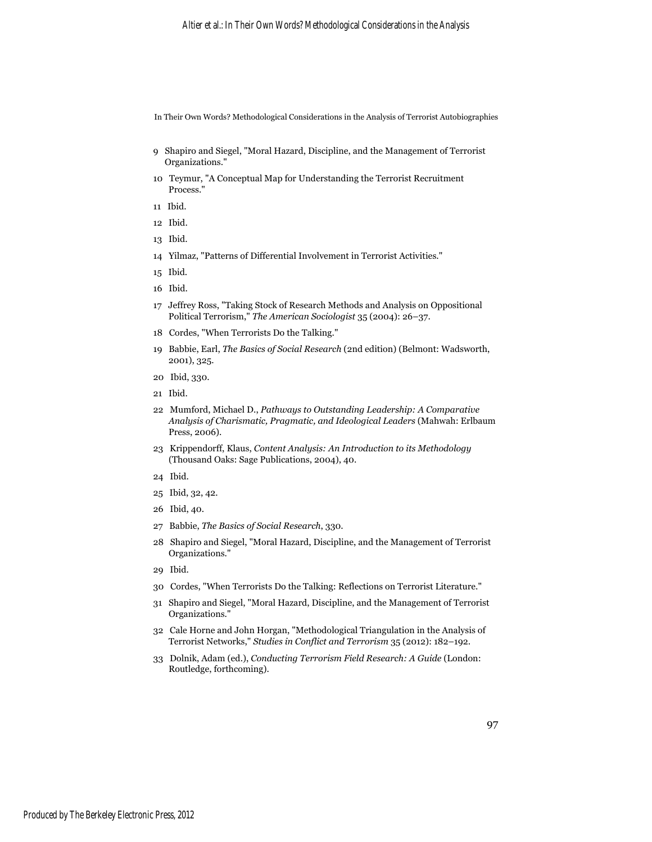- 9 Shapiro and Siegel, "Moral Hazard, Discipline, and the Management of Terrorist Organizations."
- 10 Teymur, "A Conceptual Map for Understanding the Terrorist Recruitment Process."
- 11 Ibid.
- 12 Ibid.
- 13 Ibid.
- 14 Yilmaz, "Patterns of Differential Involvement in Terrorist Activities."
- 15 Ibid.
- 16 Ibid.
- 17 Jeffrey Ross, "Taking Stock of Research Methods and Analysis on Oppositional Political Terrorism," *The American Sociologist* 35 (2004): 26–37.
- 18 Cordes, "When Terrorists Do the Talking."
- 19 Babbie, Earl, *The Basics of Social Research* (2nd edition) (Belmont: Wadsworth, 2001), 325.
- 20 Ibid, 330.
- 21 Ibid.
- 22 Mumford, Michael D., *Pathways to Outstanding Leadership: A Comparative Analysis of Charismatic, Pragmatic, and Ideological Leaders* (Mahwah: Erlbaum Press, 2006).
- 23 Krippendorff, Klaus, *Content Analysis: An Introduction to its Methodology* (Thousand Oaks: Sage Publications, 2004), 40.
- 24 Ibid.
- 25 Ibid, 32, 42.
- 26 Ibid, 40.
- 27 Babbie, *The Basics of Social Research*, 330.
- 28 Shapiro and Siegel, "Moral Hazard, Discipline, and the Management of Terrorist Organizations."
- 29 Ibid.
- 30 Cordes, "When Terrorists Do the Talking: Reflections on Terrorist Literature."
- 31 Shapiro and Siegel, "Moral Hazard, Discipline, and the Management of Terrorist Organizations."
- 32 Cale Horne and John Horgan, "Methodological Triangulation in the Analysis of Terrorist Networks," *Studies in Conflict and Terrorism* 35 (2012): 182–192.
- 33 Dolnik, Adam (ed.), *Conducting Terrorism Field Research: A Guide* (London: Routledge, forthcoming).